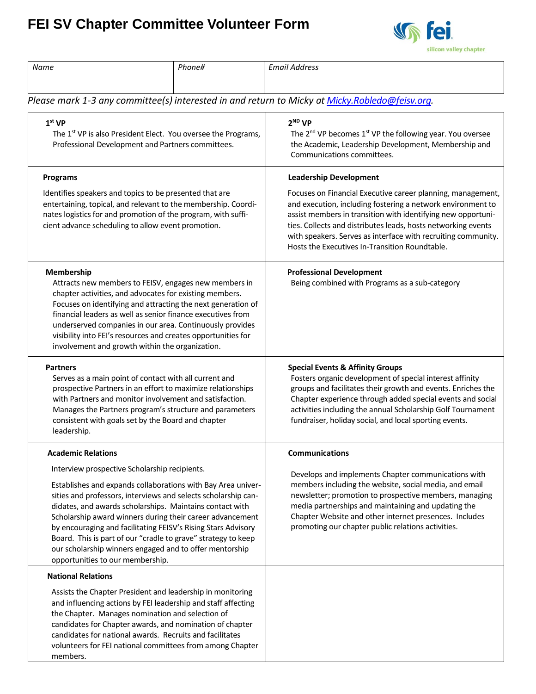## **FEI SV Chapter Committee Volunteer Form**



| Name                                                                                                                                                                                                                                                                                                                                                                                                                                                                                                                                      | Phone# | <b>Email Address</b>                                                                                                                                                                                                                                                                                                                                                           |  |  |
|-------------------------------------------------------------------------------------------------------------------------------------------------------------------------------------------------------------------------------------------------------------------------------------------------------------------------------------------------------------------------------------------------------------------------------------------------------------------------------------------------------------------------------------------|--------|--------------------------------------------------------------------------------------------------------------------------------------------------------------------------------------------------------------------------------------------------------------------------------------------------------------------------------------------------------------------------------|--|--|
|                                                                                                                                                                                                                                                                                                                                                                                                                                                                                                                                           |        |                                                                                                                                                                                                                                                                                                                                                                                |  |  |
| Please mark 1-3 any committee(s) interested in and return to Micky at Micky.Robledo@feisv.org.                                                                                                                                                                                                                                                                                                                                                                                                                                            |        |                                                                                                                                                                                                                                                                                                                                                                                |  |  |
| 1 <sup>st</sup> VP<br>The 1st VP is also President Elect. You oversee the Programs,<br>Professional Development and Partners committees.                                                                                                                                                                                                                                                                                                                                                                                                  |        | 2 <sup>ND</sup> VP<br>The 2 <sup>nd</sup> VP becomes 1 <sup>st</sup> VP the following year. You oversee<br>the Academic, Leadership Development, Membership and<br>Communications committees.                                                                                                                                                                                  |  |  |
| <b>Programs</b>                                                                                                                                                                                                                                                                                                                                                                                                                                                                                                                           |        | <b>Leadership Development</b>                                                                                                                                                                                                                                                                                                                                                  |  |  |
| Identifies speakers and topics to be presented that are<br>entertaining, topical, and relevant to the membership. Coordi-<br>nates logistics for and promotion of the program, with suffi-<br>cient advance scheduling to allow event promotion.                                                                                                                                                                                                                                                                                          |        | Focuses on Financial Executive career planning, management,<br>and execution, including fostering a network environment to<br>assist members in transition with identifying new opportuni-<br>ties. Collects and distributes leads, hosts networking events<br>with speakers. Serves as interface with recruiting community.<br>Hosts the Executives In-Transition Roundtable. |  |  |
| Membership<br>Attracts new members to FEISV, engages new members in<br>chapter activities, and advocates for existing members.<br>Focuses on identifying and attracting the next generation of<br>financial leaders as well as senior finance executives from<br>underserved companies in our area. Continuously provides<br>visibility into FEI's resources and creates opportunities for<br>involvement and growth within the organization.                                                                                             |        | <b>Professional Development</b><br>Being combined with Programs as a sub-category                                                                                                                                                                                                                                                                                              |  |  |
| <b>Partners</b><br>Serves as a main point of contact with all current and<br>prospective Partners in an effort to maximize relationships<br>with Partners and monitor involvement and satisfaction.<br>Manages the Partners program's structure and parameters<br>consistent with goals set by the Board and chapter<br>leadership.                                                                                                                                                                                                       |        | <b>Special Events &amp; Affinity Groups</b><br>Fosters organic development of special interest affinity<br>groups and facilitates their growth and events. Enriches the<br>Chapter experience through added special events and social<br>activities including the annual Scholarship Golf Tournament<br>fundraiser, holiday social, and local sporting events.                 |  |  |
| <b>Academic Relations</b>                                                                                                                                                                                                                                                                                                                                                                                                                                                                                                                 |        | Communications                                                                                                                                                                                                                                                                                                                                                                 |  |  |
| Interview prospective Scholarship recipients.<br>Establishes and expands collaborations with Bay Area univer-<br>sities and professors, interviews and selects scholarship can-<br>didates, and awards scholarships. Maintains contact with<br>Scholarship award winners during their career advancement<br>by encouraging and facilitating FEISV's Rising Stars Advisory<br>Board. This is part of our "cradle to grave" strategy to keep<br>our scholarship winners engaged and to offer mentorship<br>opportunities to our membership. |        | Develops and implements Chapter communications with<br>members including the website, social media, and email<br>newsletter; promotion to prospective members, managing<br>media partnerships and maintaining and updating the<br>Chapter Website and other internet presences. Includes<br>promoting our chapter public relations activities.                                 |  |  |
| <b>National Relations</b>                                                                                                                                                                                                                                                                                                                                                                                                                                                                                                                 |        |                                                                                                                                                                                                                                                                                                                                                                                |  |  |
| Assists the Chapter President and leadership in monitoring<br>and influencing actions by FEI leadership and staff affecting<br>the Chapter. Manages nomination and selection of<br>candidates for Chapter awards, and nomination of chapter<br>candidates for national awards. Recruits and facilitates<br>volunteers for FEI national committees from among Chapter<br>members.                                                                                                                                                          |        |                                                                                                                                                                                                                                                                                                                                                                                |  |  |